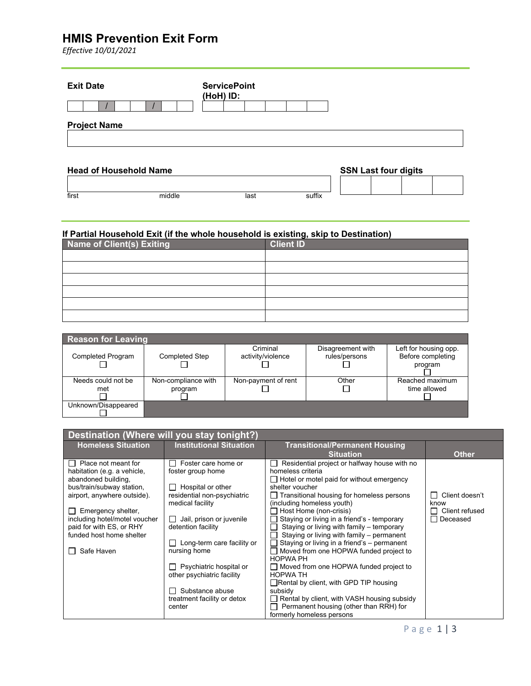### **HMIS Prevention Exit Form**

*Effective 10/01/2021*

| <b>Exit Date</b>              | <b>ServicePoint</b><br>(HoH) ID: |                             |
|-------------------------------|----------------------------------|-----------------------------|
|                               |                                  |                             |
| <b>Project Name</b>           |                                  |                             |
| <b>Head of Household Name</b> |                                  | <b>SSN Last four digits</b> |
|                               |                                  |                             |

#### **If Partial Household Exit (if the whole household is existing, skip to Destination)**

first middle last suffix

| Name of Client(s) Exiting | <b>Client ID</b> |
|---------------------------|------------------|
|                           |                  |
|                           |                  |
|                           |                  |
|                           |                  |
|                           |                  |
|                           |                  |

| Reason for Leaving       |                       |                     |                   |                       |
|--------------------------|-----------------------|---------------------|-------------------|-----------------------|
|                          |                       | Criminal            | Disagreement with | Left for housing opp. |
| <b>Completed Program</b> | <b>Completed Step</b> | activity/violence   | rules/persons     | Before completing     |
|                          |                       |                     |                   | program               |
|                          |                       |                     |                   |                       |
| Needs could not be       | Non-compliance with   | Non-payment of rent | Other             | Reached maximum       |
| met                      | program               |                     |                   | time allowed          |
|                          |                       |                     |                   |                       |
| Unknown/Disappeared      |                       |                     |                   |                       |
|                          |                       |                     |                   |                       |

| Destination (Where will you stay tonight?)                                                                                                                                                                                                                                |                                                                                                                                                                                                                                                                                                                                       |                                                                                                                                                                                                                                                                                                                                                                                                                                                                                                                                                                                                                                                                                                                                                                 |                                                      |
|---------------------------------------------------------------------------------------------------------------------------------------------------------------------------------------------------------------------------------------------------------------------------|---------------------------------------------------------------------------------------------------------------------------------------------------------------------------------------------------------------------------------------------------------------------------------------------------------------------------------------|-----------------------------------------------------------------------------------------------------------------------------------------------------------------------------------------------------------------------------------------------------------------------------------------------------------------------------------------------------------------------------------------------------------------------------------------------------------------------------------------------------------------------------------------------------------------------------------------------------------------------------------------------------------------------------------------------------------------------------------------------------------------|------------------------------------------------------|
| <b>Homeless Situation</b>                                                                                                                                                                                                                                                 | <b>Institutional Situation</b>                                                                                                                                                                                                                                                                                                        | <b>Transitional/Permanent Housing</b><br><b>Situation</b>                                                                                                                                                                                                                                                                                                                                                                                                                                                                                                                                                                                                                                                                                                       | <b>Other</b>                                         |
| $\Box$ Place not meant for<br>habitation (e.g. a vehicle,<br>abandoned building,<br>bus/train/subway station,<br>airport, anywhere outside).<br>Emergency shelter,<br>including hotel/motel voucher<br>paid for with ES, or RHY<br>funded host home shelter<br>Safe Haven | Foster care home or<br>foster group home<br>Hospital or other<br>residential non-psychiatric<br>medical facility<br>Jail, prison or juvenile<br>detention facility<br>Long-term care facility or<br>nursing home<br>Psychiatric hospital or<br>other psychiatric facility<br>Substance abuse<br>treatment facility or detox<br>center | Residential project or halfway house with no<br>homeless criteria<br>$\Box$ Hotel or motel paid for without emergency<br>shelter voucher<br>$\Box$ Transitional housing for homeless persons<br>(including homeless youth)<br>Host Home (non-crisis)<br>Staying or living in a friend's - temporary<br>Staying or living with family – temporary<br>Staying or living with family - permanent<br>Staying or living in a friend's - permanent<br>Moved from one HOPWA funded project to<br><b>HOPWA PH</b><br>$\Box$ Moved from one HOPWA funded project to<br><b>HOPWA TH</b><br>$\Box$ Rental by client, with GPD TIP housing<br>subsidy<br>Rental by client, with VASH housing subsidy<br>Permanent housing (other than RRH) for<br>formerly homeless persons | Client doesn't<br>know<br>Client refused<br>Deceased |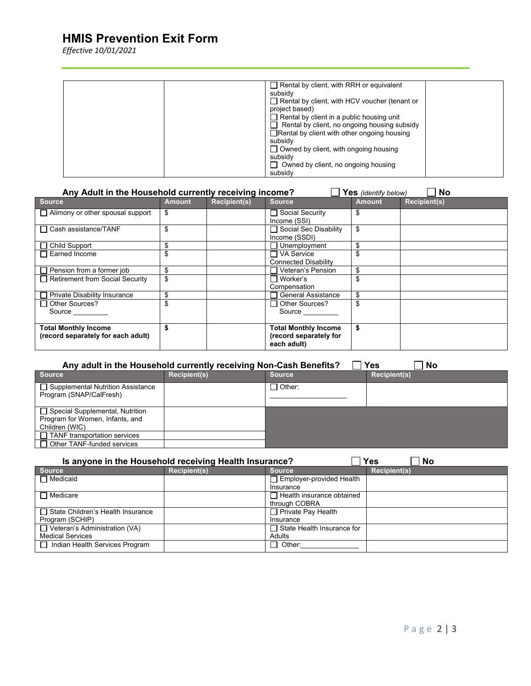# **HMIS Prevention Exit Form**

*Effective 10/01/2021*

| $\Box$ Rental by client, with RRH or equivalent      |
|------------------------------------------------------|
| subsidy                                              |
| $\Box$ Rental by client, with HCV voucher (tenant or |
| project based)                                       |
| $\Box$ Rental by client in a public housing unit     |
| $\Box$ Rental by client, no ongoing housing subsidy  |
| $\Box$ Rental by client with other ongoing housing   |
| subsidy                                              |
| $\Box$ Owned by client, with ongoing housing         |
| subsidy                                              |
| $\Box$ Owned by client, no ongoing housing           |
| subsidy                                              |

| Any Adult in the Household currently receiving income?<br><b>No</b><br>Yes (identify below) |               |                     |                                                                      |               |                     |
|---------------------------------------------------------------------------------------------|---------------|---------------------|----------------------------------------------------------------------|---------------|---------------------|
| <b>Source</b>                                                                               | <b>Amount</b> | <b>Recipient(s)</b> | <b>Source</b>                                                        | <b>Amount</b> | <b>Recipient(s)</b> |
| $\Box$ Alimony or other spousal support                                                     | \$            |                     | □ Social Security<br>Income (SSI)                                    | S             |                     |
| □ Cash assistance/TANF                                                                      | \$            |                     | □ Social Sec Disability<br>Income (SSDI)                             | \$            |                     |
| $\Box$ Child Support                                                                        | \$            |                     | Unemployment                                                         | \$.           |                     |
| Earned Income                                                                               |               |                     | ヿVA Service<br><b>Connected Disability</b>                           |               |                     |
| $\Box$ Pension from a former job                                                            | \$            |                     | Veteran's Pension                                                    | \$            |                     |
| Retirement from Social Security                                                             | \$            |                     | ⊟ Worker's<br>Compensation                                           |               |                     |
| <b>Private Disability Insurance</b>                                                         | \$            |                     | <b>General Assistance</b>                                            |               |                     |
| □ Other Sources?<br>Source                                                                  | \$            |                     | $\Box$ Other Sources?<br>Source                                      |               |                     |
| <b>Total Monthly Income</b><br>(record separately for each adult)                           |               |                     | <b>Total Monthly Income</b><br>(record separately for<br>each adult) | \$            |                     |

| Yes<br>Any adult in the Household currently receiving Non-Cash Benefits?<br><b>No</b> |                     |                 |                     |  |
|---------------------------------------------------------------------------------------|---------------------|-----------------|---------------------|--|
| <b>Source</b>                                                                         | <b>Recipient(s)</b> | <b>Source</b>   | <b>Recipient(s)</b> |  |
| □ Supplemental Nutrition Assistance<br>Program (SNAP/CalFresh)                        |                     | $\sqcap$ Other: |                     |  |
| □ Special Supplemental, Nutrition                                                     |                     |                 |                     |  |
| Program for Women, Infants, and                                                       |                     |                 |                     |  |
| Children (WIC)                                                                        |                     |                 |                     |  |
| $\Box$ TANF transportation services                                                   |                     |                 |                     |  |
| $\Box$ Other TANF-funded services                                                     |                     |                 |                     |  |

| <b>Yes</b><br>Is anyone in the Household receiving Health Insurance?<br>No |                     |                                   |                     |  |
|----------------------------------------------------------------------------|---------------------|-----------------------------------|---------------------|--|
| <b>Source</b>                                                              | <b>Recipient(s)</b> | <b>Source</b>                     | <b>Recipient(s)</b> |  |
| $\Box$ Medicaid                                                            |                     | Employer-provided Health          |                     |  |
|                                                                            |                     | Insurance                         |                     |  |
| $\Box$ Medicare                                                            |                     | $\Box$ Health insurance obtained  |                     |  |
|                                                                            |                     | through COBRA                     |                     |  |
| □ State Children's Health Insurance                                        |                     | $\Box$ Private Pay Health         |                     |  |
| Program (SCHIP)                                                            |                     | Insurance                         |                     |  |
| $\Box$ Veteran's Administration (VA)                                       |                     | $\Box$ State Health Insurance for |                     |  |
| <b>Medical Services</b>                                                    |                     | Adults                            |                     |  |
| □ Indian Health Services Program                                           |                     | $\Box$ Other:                     |                     |  |